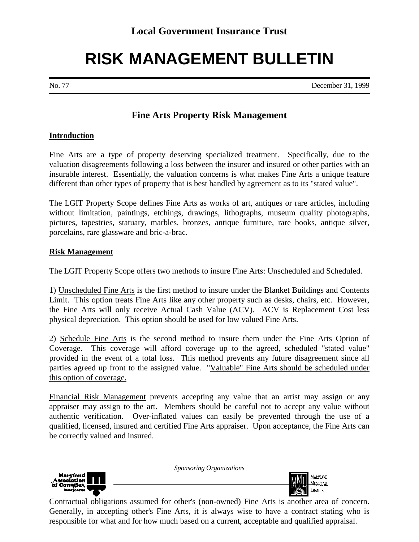## **RISK MANAGEMENT BULLETIN**

No. 77 December 31, 1999

## **Fine Arts Property Risk Management**

## **Introduction**

Fine Arts are a type of property deserving specialized treatment. Specifically, due to the valuation disagreements following a loss between the insurer and insured or other parties with an insurable interest. Essentially, the valuation concerns is what makes Fine Arts a unique feature different than other types of property that is best handled by agreement as to its "stated value".

The LGIT Property Scope defines Fine Arts as works of art, antiques or rare articles, including without limitation, paintings, etchings, drawings, lithographs, museum quality photographs, pictures, tapestries, statuary, marbles, bronzes, antique furniture, rare books, antique silver, porcelains, rare glassware and bric-a-brac.

## **Risk Management**

The LGIT Property Scope offers two methods to insure Fine Arts: Unscheduled and Scheduled.

1) Unscheduled Fine Arts is the first method to insure under the Blanket Buildings and Contents Limit. This option treats Fine Arts like any other property such as desks, chairs, etc. However, the Fine Arts will only receive Actual Cash Value (ACV). ACV is Replacement Cost less physical depreciation. This option should be used for low valued Fine Arts.

2) Schedule Fine Arts is the second method to insure them under the Fine Arts Option of Coverage. This coverage will afford coverage up to the agreed, scheduled "stated value" provided in the event of a total loss. This method prevents any future disagreement since all parties agreed up front to the assigned value. "Valuable" Fine Arts should be scheduled under this option of coverage.

Financial Risk Management prevents accepting any value that an artist may assign or any appraiser may assign to the art. Members should be careful not to accept any value without authentic verification. Over-inflated values can easily be prevented through the use of a qualified, licensed, insured and certified Fine Arts appraiser. Upon acceptance, the Fine Arts can be correctly valued and insured.

*Sponsoring Organizations*



**Contractual obligations assumed for other's (non-owned) Fine Arts is another area of concern.** Generally, in accepting other's Fine Arts, it is always wise to have a contract stating who is responsible for what and for how much based on a current, acceptable and qualified appraisal.